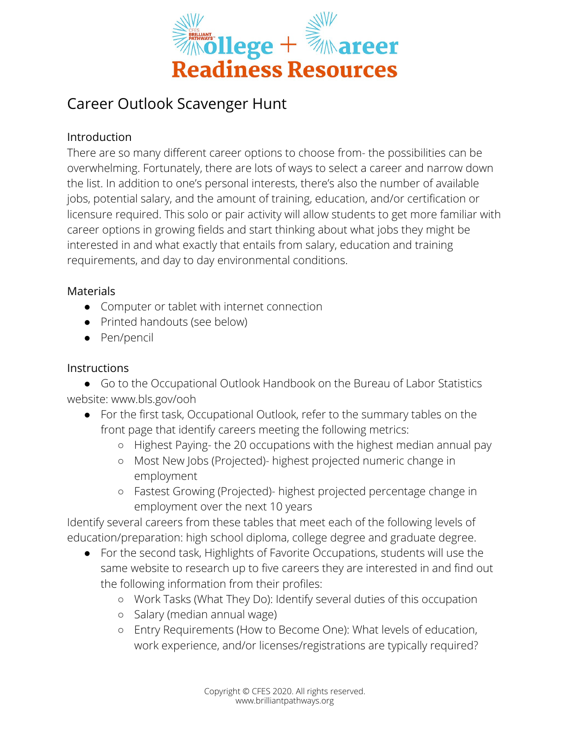

# Career Outlook Scavenger Hunt

## Introduction

There are so many different career options to choose from- the possibilities can be overwhelming. Fortunately, there are lots of ways to select a career and narrow down the list. In addition to one's personal interests, there's also the number of available jobs, potential salary, and the amount of training, education, and/or certification or licensure required. This solo or pair activity will allow students to get more familiar with career options in growing fields and start thinking about what jobs they might be interested in and what exactly that entails from salary, education and training requirements, and day to day environmental conditions.

#### **Materials**

- Computer or tablet with internet connection
- Printed handouts (see below)
- Pen/pencil

### **Instructions**

● Go to the Occupational Outlook Handbook on the Bureau of Labor Statistics website: www.bls.gov/ooh

- For the first task, Occupational Outlook, refer to the summary tables on the front page that identify careers meeting the following metrics:
	- Highest Paying- the 20 occupations with the highest median annual pay
	- Most New Jobs (Projected)- highest projected numeric change in employment
	- Fastest Growing (Projected)- highest projected percentage change in employment over the next 10 years

Identify several careers from these tables that meet each of the following levels of education/preparation: high school diploma, college degree and graduate degree.

- For the second task, Highlights of Favorite Occupations, students will use the same website to research up to five careers they are interested in and find out the following information from their profiles:
	- Work Tasks (What They Do): Identify several duties of this occupation
	- Salary (median annual wage)
	- Entry Requirements (How to Become One): What levels of education, work experience, and/or licenses/registrations are typically required?